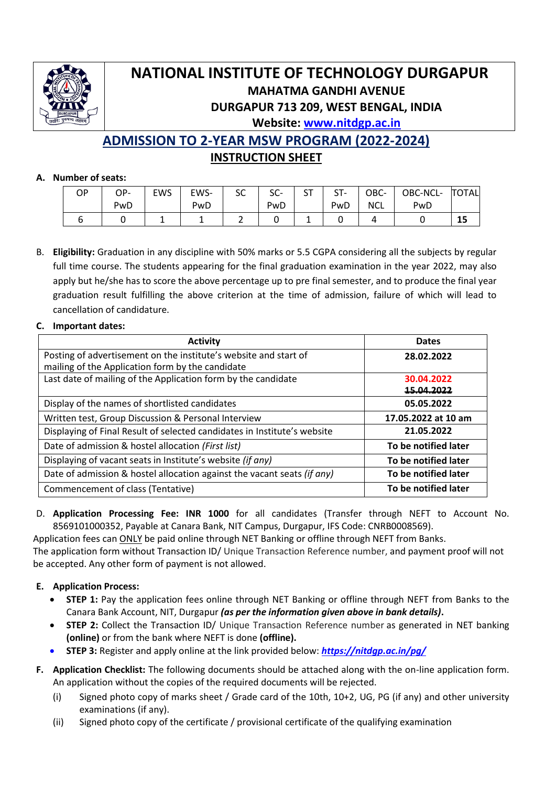

# **NATIONAL INSTITUTE OF TECHNOLOGY DURGAPUR MAHATMA GANDHI AVENUE DURGAPUR 713 209, WEST BENGAL, INDIA Website: [www.nitdgp.ac.in](http://www.nitdgp.ac.in/)**

**ADMISSION TO 2-YEAR MSW PROGRAM (2022-2024) INSTRUCTION SHEET**

## **A. Number of seats:**

| ΟP | OP- | <b>EWS</b> | EWS- | $\sim$<br>эc | cc<br>೨೮- | cт<br>ا ب | ST- | OBC-       | OBC-NCL- | <b>TOTAL</b> |
|----|-----|------------|------|--------------|-----------|-----------|-----|------------|----------|--------------|
|    | PwD |            | PwD  |              | PwD       |           | PwD | <b>NCL</b> | PwD      |              |
|    |     |            |      |              |           |           |     |            |          | --           |

B. **Eligibility:** Graduation in any discipline with 50% marks or 5.5 CGPA considering all the subjects by regular full time course. The students appearing for the final graduation examination in the year 2022, may also apply but he/she has to score the above percentage up to pre final semester, and to produce the final year graduation result fulfilling the above criterion at the time of admission, failure of which will lead to cancellation of candidature.

## **C. Important dates:**

| <b>Activity</b>                                                                                                      | <b>Dates</b>             |
|----------------------------------------------------------------------------------------------------------------------|--------------------------|
| Posting of advertisement on the institute's website and start of<br>mailing of the Application form by the candidate | 28.02.2022               |
| Last date of mailing of the Application form by the candidate                                                        | 30.04.2022<br>15.04.2022 |
| Display of the names of shortlisted candidates                                                                       | 05.05.2022               |
| Written test, Group Discussion & Personal Interview                                                                  | 17.05.2022 at 10 am      |
| Displaying of Final Result of selected candidates in Institute's website                                             | 21.05.2022               |
| Date of admission & hostel allocation (First list)                                                                   | To be notified later     |
| Displaying of vacant seats in Institute's website (if any)                                                           | To be notified later     |
| Date of admission & hostel allocation against the vacant seats (if any)                                              | To be notified later     |
| Commencement of class (Tentative)                                                                                    | To be notified later     |

D. **Application Processing Fee: INR 1000** for all candidates (Transfer through NEFT to Account No. 8569101000352, Payable at Canara Bank, NIT Campus, Durgapur, IFS Code: CNRB0008569).

Application fees can ONLY be paid online through NET Banking or offline through NEFT from Banks. The application form without Transaction ID/ Unique Transaction Reference number, and payment proof will not be accepted. Any other form of payment is not allowed.

## **E. Application Process:**

- **STEP 1:** Pay the application fees online through NET Banking or offline through NEFT from Banks to the Canara Bank Account, NIT, Durgapur *(as per the information given above in bank details)***.**
- **STEP 2:** Collect the Transaction ID/ Unique Transaction Reference number as generated in NET banking **(online)** or from the bank where NEFT is done **(offline).**
- **STEP 3:** Register and apply online at the link provided below: *<https://nitdgp.ac.in/pg/>*
- **F. Application Checklist:** The following documents should be attached along with the on-line application form. An application without the copies of the required documents will be rejected.
	- (i) Signed photo copy of marks sheet / Grade card of the 10th, 10+2, UG, PG (if any) and other university examinations (if any).
	- (ii) Signed photo copy of the certificate / provisional certificate of the qualifying examination